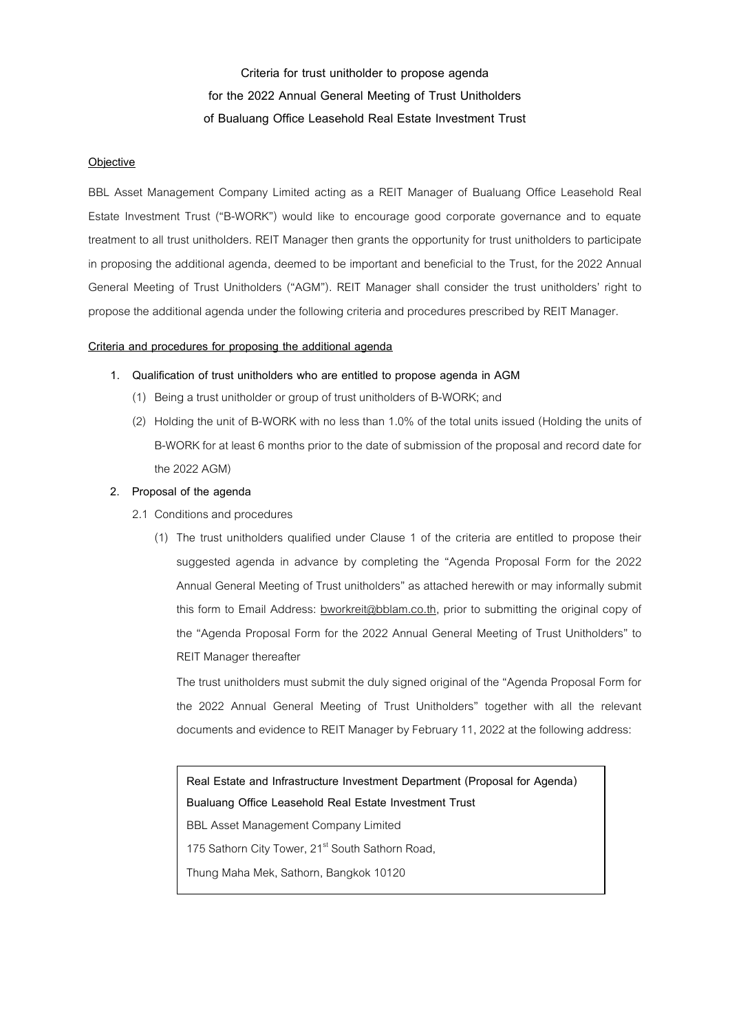**Criteria for trust unitholder to propose agenda for the 2022 Annual General Meeting of Trust Unitholders of Bualuang Office Leasehold Real Estate Investment Trust**

## **Objective**

BBL Asset Management Company Limited acting as a REIT Manager of Bualuang Office Leasehold Real Estate Investment Trust ("B-WORK") would like to encourage good corporate governance and to equate treatment to all trust unitholders. REIT Manager then grants the opportunity for trust unitholders to participate in proposing the additional agenda, deemed to be important and beneficial to the Trust, for the 2022 Annual General Meeting of Trust Unitholders ("AGM"). REIT Manager shall consider the trust unitholders' right to propose the additional agenda under the following criteria and procedures prescribed by REIT Manager.

## **Criteria and procedures for proposing the additional agenda**

- **1. Qualification of trust unitholders who are entitled to propose agenda in AGM**
	- (1) Being a trust unitholder or group of trust unitholders of B-WORK;and
	- (2) Holding the unit of B-WORK with no less than 1.0% of the total units issued (Holding the units of B-WORK for at least 6 months prior to the date of submission of the proposal and record date for the 2022 AGM)

## **2. Proposal of the agenda**

- 2.1 Conditions and procedures
	- (1) The trust unitholders qualified under Clause 1 of the criteria are entitled to propose their suggested agenda in advance by completing the "Agenda Proposal Form for the 2022 Annual General Meeting of Trust unitholders" as attached herewith or may informally submit this form to Email Address: bworkreit@bblam.co.th, prior to submitting the original copy of the "Agenda Proposal Form for the 2022 Annual General Meeting of Trust Unitholders" to REIT Manager thereafter

The trust unitholders must submit the duly signed original of the "Agenda Proposal Form for the 2022 Annual General Meeting of Trust Unitholders" together with all the relevant documents and evidence to REIT Manager by February 11, 2022 at the following address:

**Real Estate and Infrastructure Investment Department (Proposal for Agenda) Bualuang Office Leasehold Real Estate Investment Trust** BBL Asset Management Company Limited 175 Sathorn City Tower, 21<sup>st</sup> South Sathorn Road, Thung Maha Mek, Sathorn, Bangkok 10120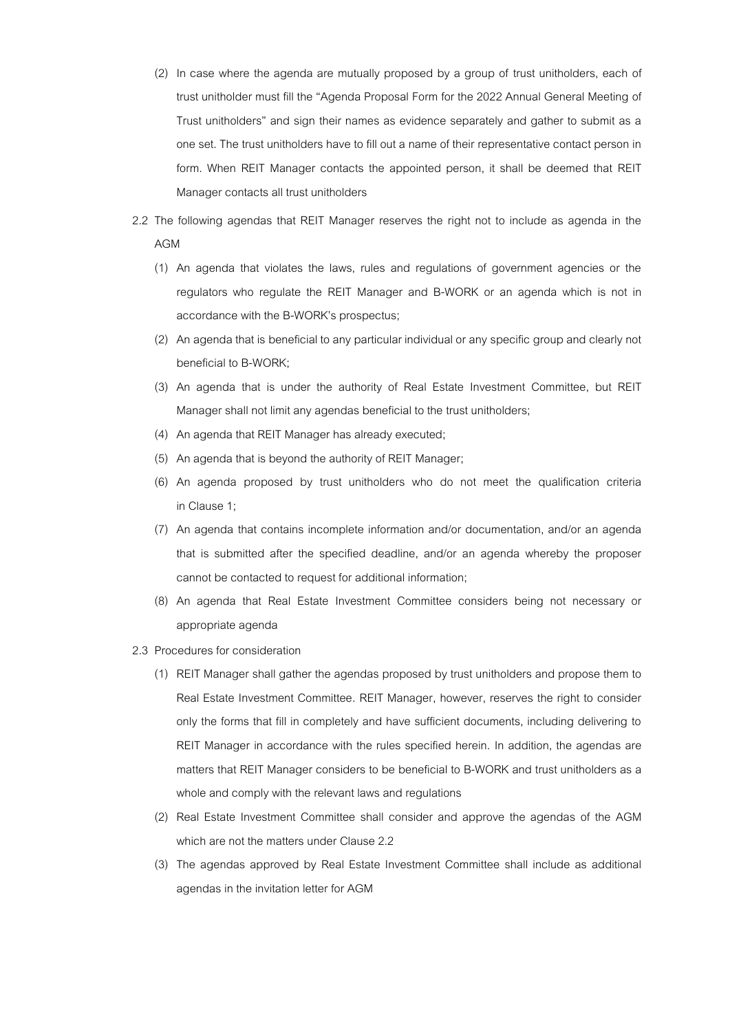- (2) In case where the agenda are mutually proposed by a group of trust unitholders, each of trust unitholder must fill the "Agenda Proposal Form for the 2022 Annual General Meeting of Trust unitholders" and sign their names as evidence separately and gather to submit as a one set. The trust unitholders have to fill out a name of their representative contact person in form. When REIT Manager contacts the appointed person, it shall be deemed that REIT Manager contacts all trust unitholders
- 2.2 The following agendas that REIT Manager reserves the right not to include as agenda in the AGM
	- (1) An agenda that violates the laws, rules and regulations of government agencies or the regulators who regulate the REIT Manager and B-WORK or an agenda which is not in accordance with the B-WORK's prospectus;
	- (2) An agenda that is beneficial to any particular individual or any specific group and clearly not beneficial to B-WORK;
	- (3) An agenda that is under the authority of Real Estate Investment Committee, but REIT Manager shall not limit any agendas beneficial to the trust unitholders;
	- (4) An agenda that REIT Manager has already executed;
	- (5) An agenda that is beyond the authority of REIT Manager;
	- (6) An agenda proposed by trust unitholders who do not meet the qualification criteria in Clause 1;
	- (7) An agenda that contains incomplete information and/or documentation, and/or an agenda that is submitted after the specified deadline, and/or an agenda whereby the proposer cannot be contacted to request for additional information;
	- (8) An agenda that Real Estate Investment Committee considers being not necessary or appropriate agenda
- 2.3 Procedures for consideration
	- (1) REIT Manager shall gather the agendas proposed by trust unitholders and propose them to Real Estate Investment Committee. REIT Manager, however, reserves the right to consider only the forms that fill in completely and have sufficient documents, including delivering to REIT Manager in accordance with the rules specified herein. In addition, the agendas are matters that REIT Manager considers to be beneficial to B-WORK and trust unitholders as a whole and comply with the relevant laws and regulations
	- (2) Real Estate Investment Committee shall consider and approve the agendas of the AGM which are not the matters under Clause 2.2
	- (3) The agendas approved by Real Estate Investment Committee shall include as additional agendas in the invitation letter for AGM